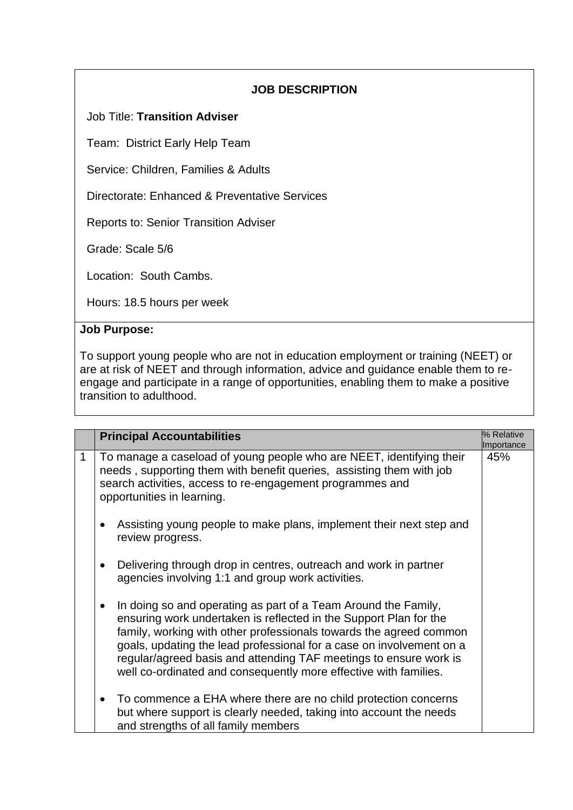# **JOB DESCRIPTION**

## Job Title: **Transition Adviser**

Team: District Early Help Team

Service: Children, Families & Adults

Directorate: Enhanced & Preventative Services

Reports to: Senior Transition Adviser

Grade: Scale 5/6

Location: South Cambs.

Hours: 18.5 hours per week

#### **Job Purpose:**

To support young people who are not in education employment or training (NEET) or are at risk of NEET and through information, advice and guidance enable them to reengage and participate in a range of opportunities, enabling them to make a positive transition to adulthood.

|             | <b>Principal Accountabilities</b>                                                                                                                                                                                                                                                                                                                                                                                          | % Relative<br>Importance |
|-------------|----------------------------------------------------------------------------------------------------------------------------------------------------------------------------------------------------------------------------------------------------------------------------------------------------------------------------------------------------------------------------------------------------------------------------|--------------------------|
| $\mathbf 1$ | To manage a caseload of young people who are NEET, identifying their<br>needs, supporting them with benefit queries, assisting them with job<br>search activities, access to re-engagement programmes and<br>opportunities in learning.                                                                                                                                                                                    | 45%                      |
|             | Assisting young people to make plans, implement their next step and<br>review progress.                                                                                                                                                                                                                                                                                                                                    |                          |
|             | Delivering through drop in centres, outreach and work in partner<br>agencies involving 1:1 and group work activities.                                                                                                                                                                                                                                                                                                      |                          |
|             | In doing so and operating as part of a Team Around the Family,<br>ensuring work undertaken is reflected in the Support Plan for the<br>family, working with other professionals towards the agreed common<br>goals, updating the lead professional for a case on involvement on a<br>regular/agreed basis and attending TAF meetings to ensure work is<br>well co-ordinated and consequently more effective with families. |                          |
|             | To commence a EHA where there are no child protection concerns<br>but where support is clearly needed, taking into account the needs<br>and strengths of all family members                                                                                                                                                                                                                                                |                          |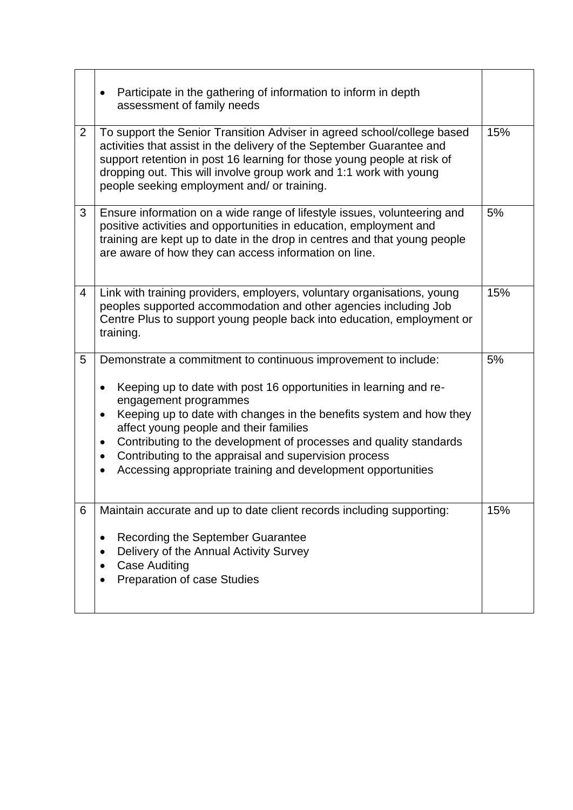|                | Participate in the gathering of information to inform in depth<br>$\bullet$<br>assessment of family needs                                                                                                                                                                                                                                                                                                                                                                                                                             |     |
|----------------|---------------------------------------------------------------------------------------------------------------------------------------------------------------------------------------------------------------------------------------------------------------------------------------------------------------------------------------------------------------------------------------------------------------------------------------------------------------------------------------------------------------------------------------|-----|
| $\overline{2}$ | To support the Senior Transition Adviser in agreed school/college based<br>activities that assist in the delivery of the September Guarantee and<br>support retention in post 16 learning for those young people at risk of<br>dropping out. This will involve group work and 1:1 work with young<br>people seeking employment and/ or training.                                                                                                                                                                                      | 15% |
| 3              | Ensure information on a wide range of lifestyle issues, volunteering and<br>positive activities and opportunities in education, employment and<br>training are kept up to date in the drop in centres and that young people<br>are aware of how they can access information on line.                                                                                                                                                                                                                                                  | 5%  |
| 4              | Link with training providers, employers, voluntary organisations, young<br>peoples supported accommodation and other agencies including Job<br>Centre Plus to support young people back into education, employment or<br>training.                                                                                                                                                                                                                                                                                                    | 15% |
| 5              | Demonstrate a commitment to continuous improvement to include:<br>Keeping up to date with post 16 opportunities in learning and re-<br>$\bullet$<br>engagement programmes<br>Keeping up to date with changes in the benefits system and how they<br>$\bullet$<br>affect young people and their families<br>Contributing to the development of processes and quality standards<br>$\bullet$<br>Contributing to the appraisal and supervision process<br>$\bullet$<br>Accessing appropriate training and development opportunities<br>٠ | 5%  |
| 6              | Maintain accurate and up to date client records including supporting:<br>Recording the September Guarantee<br>$\bullet$<br>Delivery of the Annual Activity Survey<br>$\bullet$<br><b>Case Auditing</b><br>٠<br>Preparation of case Studies                                                                                                                                                                                                                                                                                            | 15% |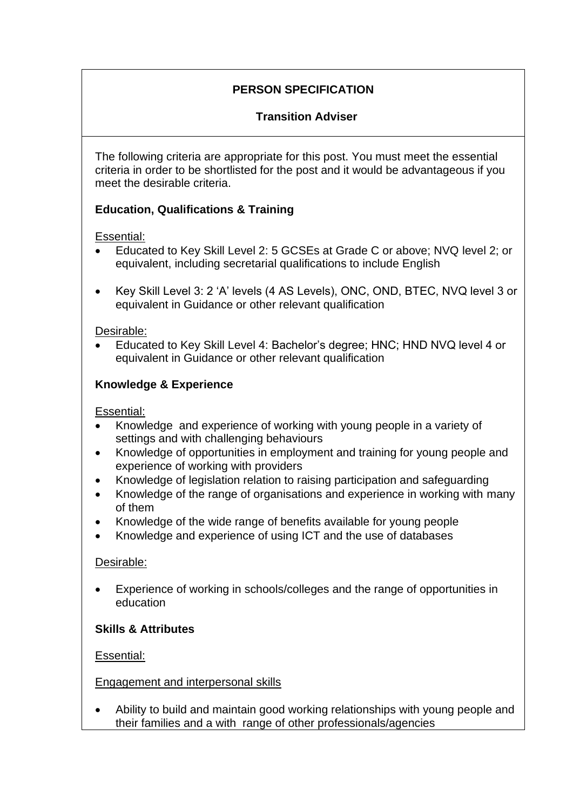# **PERSON SPECIFICATION**

# **Transition Adviser**

The following criteria are appropriate for this post. You must meet the essential criteria in order to be shortlisted for the post and it would be advantageous if you meet the desirable criteria.

# **Education, Qualifications & Training**

## Essential:

- Educated to Key Skill Level 2: 5 GCSEs at Grade C or above; NVQ level 2; or equivalent, including secretarial qualifications to include English
- Key Skill Level 3: 2 'A' levels (4 AS Levels), ONC, OND, BTEC, NVQ level 3 or equivalent in Guidance or other relevant qualification

#### Desirable:

• Educated to Key Skill Level 4: Bachelor's degree; HNC; HND NVQ level 4 or equivalent in Guidance or other relevant qualification

## **Knowledge & Experience**

Essential:

- Knowledge and experience of working with young people in a variety of settings and with challenging behaviours
- Knowledge of opportunities in employment and training for young people and experience of working with providers
- Knowledge of legislation relation to raising participation and safeguarding
- Knowledge of the range of organisations and experience in working with many of them
- Knowledge of the wide range of benefits available for young people
- Knowledge and experience of using ICT and the use of databases

## Desirable:

• Experience of working in schools/colleges and the range of opportunities in education

## **Skills & Attributes**

Essential:

Engagement and interpersonal skills

• Ability to build and maintain good working relationships with young people and their families and a with range of other professionals/agencies